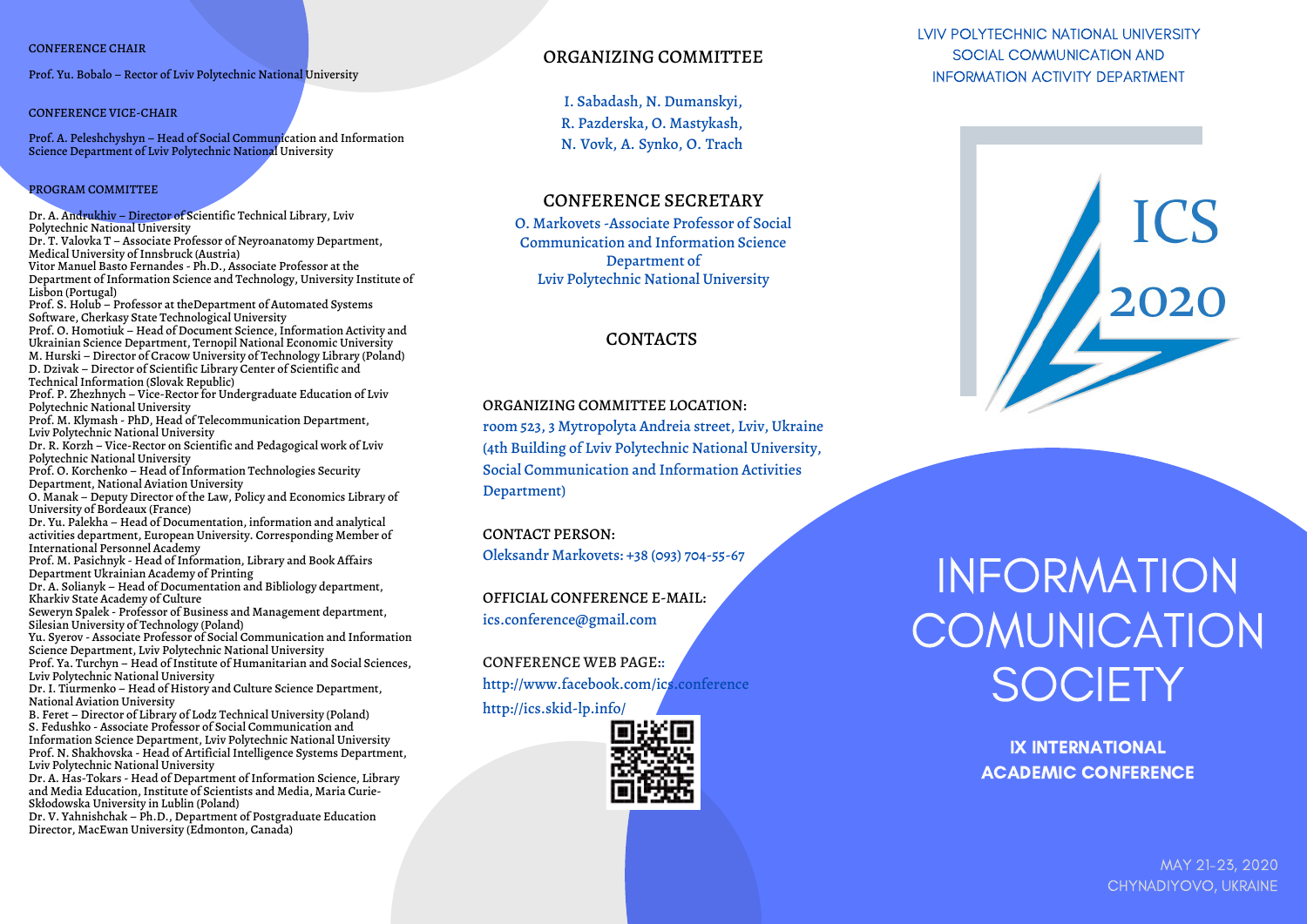### CONFERENCE CHAIR

Prof. Yu. Bobalo – Rector of Lviv Polytechnic National University

#### CONFERENCE VICE-CHAIR

Prof. A. Peleshchyshyn – Head of Social Communication and Information Science Department of Lviv Polytechnic National University

### PROGRAM COMMITTEE

Dr. A. Andrukhiv – Director of Scientific Technical Library, Lviv Polytechnic National University Dr. T. Valovka Т – Associate Professor of Neyroanatomy Department, Medical University of Innsbruck (Austria) Vitor Manuel Basto Fernandes - Ph.D., Associate Professor at the Department of Information Science and Technology, University Institute of Lisbon (Portugal) Prof. S. Holub – Professor at theDepartment of Automated Systems Software, Cherkasy State Technological University Prof. O. Homotiuk – Head of Document Science, Information Activity and Ukrainian Science Department, Ternopil National Economic University M. Hurski – Director of Cracow University of Technology Library (Poland) D. Dzivak – Director of Scientific Library Center of Scientific and Technical Information (Slovak Republic) Prof. P. Zhezhnych – Vice-Rector for Undergraduate Education of Lviv Polytechnic National University Prof. M. Klymash - PhD, Head of Telecommunication Department, Lviv Polytechnic National University Dr. R. Korzh – Vice-Rector on Scientific and Pedagogical work of Lviv Polytechnic National University Prof. O. Korchenko – Head of Information Technologies Security Department, National Aviation University O. Manak – Deputy Director of the Law, Policy and Economics Library of University of Bordeaux (France) Dr. Yu. Palekha – Head of Documentation, information and analytical activities department, European University. Corresponding Member of International Personnel Academy Prof. M. Pasichnyk - Head of Information, Library and Book Affairs Department Ukrainian Academy of Printing Dr. A. Solianyk – Head of Documentation and Bibliology department, Kharkiv State Academy of Culture Seweryn Spalek - Professor of Business and Management department, Silesian University of Technology (Poland) Yu. Syerov - Associate Professor of Social Communication and Information Science Department, Lviv Polytechnic National University Prof. Ya. Turchyn – Head of Institute of Humanitarian and Social Sciences, Lviv Polytechnic National University Dr. І. Tiurmenko – Head of History and Culture Science Department, National Aviation University B. Feret – Director of Library of Lodz Technical University (Poland) S. Fedushko - Associate Professor of Social Communication and Information Science Department, Lviv Polytechnic National University Prof. N. Shakhovska - Head of Artificial Intelligence Systems Department, Lviv Polytechnic National University Dr. A. Has-Tokars - Head of Department of Information Science, Library

and Media Education, Institute of Scientists and Media, Maria Curie-Skłodowska University in Lublin (Poland)

Dr. V. Yahnishchak – Ph.D., Department of Postgraduate Education Director, MacEwan University (Edmonton, Canada)

# ORGANIZING COMMITTEE

І. Sabadash, N. Dumanskyi, R. Pazderska, О. Mastykash, N. Vovk, А. Synko, О. Trach

## CONFERENCE SECRETARY

O. Markovets -Associate Professor of Social Communication and Information Science Department of Lviv Polytechnic National University

### CONTACTS

### ORGANIZING COMMITTEE LOCATION:

room 523, 3 Mytropolyta Andreia street, Lviv, Ukraine (4th Building of Lviv Polytechnic National University, Social Communication and Information Activities Department)

### CONTACT PERSON:

Oleksandr Markovets: +38 (093) 704-55-67

OFFICIAL CONFERENCE E-MAIL: ics.conference@gmail.com

CONFERENCE WEB PAGE:: http://www.facebook.com/ics.conference

http://ics.skid-lp.info/



# LVIV POLYTECHNIC NATIONAL UNIVERSITY SOCIAL COMMUNICATION AND INFORMATION ACTIVITY DEPARTMENT



# INFORMATION **COMUNICATION** SOCIETY

IX INTERNATIONAL ACADEMIC CONFERENCE

> MAY 21-23, 2020 CHYNADIYOVO, UKRAINE